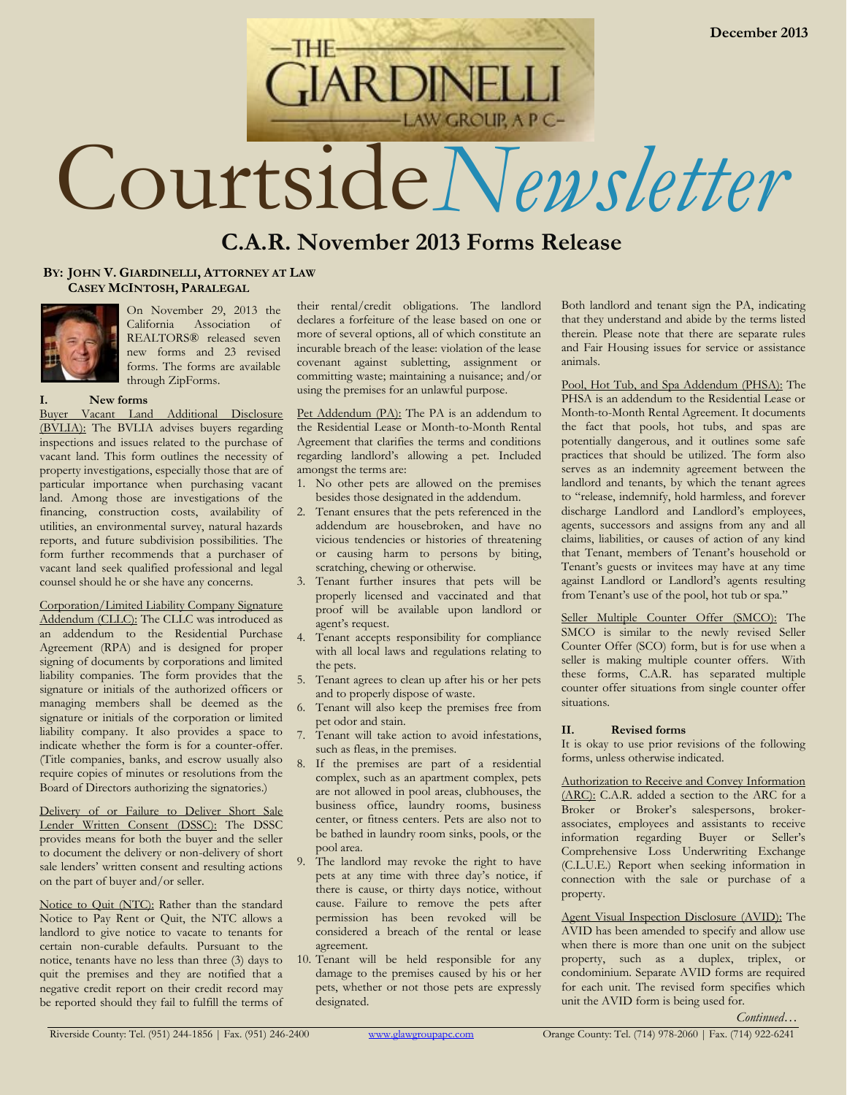# **ARDINI AW GROUP, A P C-**Courtside*Newsletter*

## **C.A.R. November 2013 Forms Release**

#### **BY: JOHN V. GIARDINELLI, ATTORNEY AT LAW CASEY MCINTOSH, PARALEGAL**



On November 29, 2013 the California Association of REALTORS® released seven new forms and 23 revised forms. The forms are available through ZipForms.

#### **I. New forms**

Buyer Vacant Land Additional Disclosure (BVLIA): The BVLIA advises buyers regarding inspections and issues related to the purchase of vacant land. This form outlines the necessity of property investigations, especially those that are of particular importance when purchasing vacant land. Among those are investigations of the financing, construction costs, availability of utilities, an environmental survey, natural hazards reports, and future subdivision possibilities. The form further recommends that a purchaser of vacant land seek qualified professional and legal counsel should he or she have any concerns.

Corporation/Limited Liability Company Signature Addendum (CLLC): The CLLC was introduced as an addendum to the Residential Purchase Agreement (RPA) and is designed for proper signing of documents by corporations and limited liability companies. The form provides that the signature or initials of the authorized officers or managing members shall be deemed as the signature or initials of the corporation or limited liability company. It also provides a space to indicate whether the form is for a counter-offer. (Title companies, banks, and escrow usually also require copies of minutes or resolutions from the Board of Directors authorizing the signatories.)

Delivery of or Failure to Deliver Short Sale Lender Written Consent (DSSC): The DSSC provides means for both the buyer and the seller to document the delivery or non-delivery of short sale lenders' written consent and resulting actions on the part of buyer and/or seller.

Notice to Quit (NTC): Rather than the standard Notice to Pay Rent or Quit, the NTC allows a landlord to give notice to vacate to tenants for certain non-curable defaults. Pursuant to the notice, tenants have no less than three (3) days to quit the premises and they are notified that a negative credit report on their credit record may be reported should they fail to fulfill the terms of

their rental/credit obligations. The landlord declares a forfeiture of the lease based on one or more of several options, all of which constitute an incurable breach of the lease: violation of the lease covenant against subletting, assignment or committing waste; maintaining a nuisance; and/or using the premises for an unlawful purpose.

Pet Addendum (PA): The PA is an addendum to the Residential Lease or Month-to-Month Rental Agreement that clarifies the terms and conditions regarding landlord's allowing a pet. Included amongst the terms are:

- 1. No other pets are allowed on the premises besides those designated in the addendum.
- 2. Tenant ensures that the pets referenced in the addendum are housebroken, and have no vicious tendencies or histories of threatening or causing harm to persons by biting, scratching, chewing or otherwise.
- 3. Tenant further insures that pets will be properly licensed and vaccinated and that proof will be available upon landlord or agent's request.
- 4. Tenant accepts responsibility for compliance with all local laws and regulations relating to the pets.
- 5. Tenant agrees to clean up after his or her pets and to properly dispose of waste.
- 6. Tenant will also keep the premises free from pet odor and stain.
- 7. Tenant will take action to avoid infestations, such as fleas, in the premises.
- 8. If the premises are part of a residential complex, such as an apartment complex, pets are not allowed in pool areas, clubhouses, the business office, laundry rooms, business center, or fitness centers. Pets are also not to be bathed in laundry room sinks, pools, or the pool area.
- 9. The landlord may revoke the right to have pets at any time with three day's notice, if there is cause, or thirty days notice, without cause. Failure to remove the pets after permission has been revoked will be considered a breach of the rental or lease agreement.
- 10. Tenant will be held responsible for any damage to the premises caused by his or her pets, whether or not those pets are expressly designated.

Both landlord and tenant sign the PA, indicating that they understand and abide by the terms listed therein. Please note that there are separate rules and Fair Housing issues for service or assistance animals.

Pool, Hot Tub, and Spa Addendum (PHSA): The PHSA is an addendum to the Residential Lease or Month-to-Month Rental Agreement. It documents the fact that pools, hot tubs, and spas are potentially dangerous, and it outlines some safe practices that should be utilized. The form also serves as an indemnity agreement between the landlord and tenants, by which the tenant agrees to "release, indemnify, hold harmless, and forever discharge Landlord and Landlord's employees, agents, successors and assigns from any and all claims, liabilities, or causes of action of any kind that Tenant, members of Tenant's household or Tenant's guests or invitees may have at any time against Landlord or Landlord's agents resulting from Tenant's use of the pool, hot tub or spa."

Seller Multiple Counter Offer (SMCO): The SMCO is similar to the newly revised Seller Counter Offer (SCO) form, but is for use when a seller is making multiple counter offers. With these forms, C.A.R. has separated multiple counter offer situations from single counter offer situations.

#### **II. Revised forms**

It is okay to use prior revisions of the following forms, unless otherwise indicated.

Authorization to Receive and Convey Information (ARC): C.A.R. added a section to the ARC for a Broker or Broker's salespersons, brokerassociates, employees and assistants to receive information regarding Buyer or Seller's Comprehensive Loss Underwriting Exchange (C.L.U.E.) Report when seeking information in connection with the sale or purchase of a property.

Agent Visual Inspection Disclosure (AVID): The AVID has been amended to specify and allow use when there is more than one unit on the subject property, such as a duplex, triplex, or condominium. Separate AVID forms are required for each unit. The revised form specifies which unit the AVID form is being used for.

*Continued…*